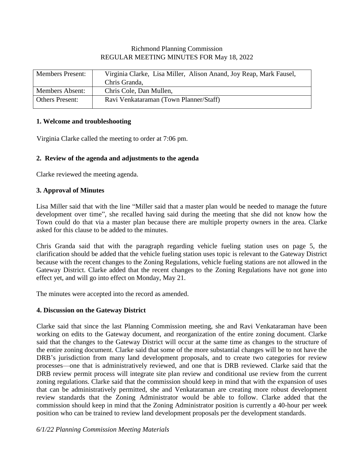# Richmond Planning Commission REGULAR MEETING MINUTES FOR May 18, 2022

| <b>Members Present:</b> | Virginia Clarke, Lisa Miller, Alison Anand, Joy Reap, Mark Fausel,<br>Chris Granda, |
|-------------------------|-------------------------------------------------------------------------------------|
| <b>Members Absent:</b>  | Chris Cole, Dan Mullen,                                                             |
| <b>Others Present:</b>  | Ravi Venkataraman (Town Planner/Staff)                                              |

## **1. Welcome and troubleshooting**

Virginia Clarke called the meeting to order at 7:06 pm.

## **2. Review of the agenda and adjustments to the agenda**

Clarke reviewed the meeting agenda.

### **3. Approval of Minutes**

Lisa Miller said that with the line "Miller said that a master plan would be needed to manage the future development over time", she recalled having said during the meeting that she did not know how the Town could do that via a master plan because there are multiple property owners in the area. Clarke asked for this clause to be added to the minutes.

Chris Granda said that with the paragraph regarding vehicle fueling station uses on page 5, the clarification should be added that the vehicle fueling station uses topic is relevant to the Gateway District because with the recent changes to the Zoning Regulations, vehicle fueling stations are not allowed in the Gateway District. Clarke added that the recent changes to the Zoning Regulations have not gone into effect yet, and will go into effect on Monday, May 21.

The minutes were accepted into the record as amended.

#### **4. Discussion on the Gateway District**

Clarke said that since the last Planning Commission meeting, she and Ravi Venkataraman have been working on edits to the Gateway document, and reorganization of the entire zoning document. Clarke said that the changes to the Gateway District will occur at the same time as changes to the structure of the entire zoning document. Clarke said that some of the more substantial changes will be to not have the DRB's jurisdiction from many land development proposals, and to create two categories for review processes—one that is administratively reviewed, and one that is DRB reviewed. Clarke said that the DRB review permit process will integrate site plan review and conditional use review from the current zoning regulations. Clarke said that the commission should keep in mind that with the expansion of uses that can be administratively permitted, she and Venkataraman are creating more robust development review standards that the Zoning Administrator would be able to follow. Clarke added that the commission should keep in mind that the Zoning Administrator position is currently a 40-hour per week position who can be trained to review land development proposals per the development standards.

## *6/1/22 Planning Commission Meeting Materials*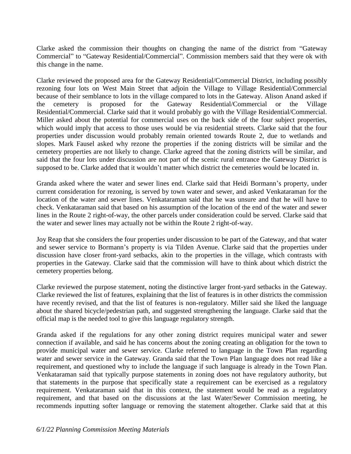Clarke asked the commission their thoughts on changing the name of the district from "Gateway Commercial" to "Gateway Residential/Commercial". Commission members said that they were ok with this change in the name.

Clarke reviewed the proposed area for the Gateway Residential/Commercial District, including possibly rezoning four lots on West Main Street that adjoin the Village to Village Residential/Commercial because of their semblance to lots in the village compared to lots in the Gateway. Alison Anand asked if the cemetery is proposed for the Gateway Residential/Commercial or the Village Residential/Commercial. Clarke said that it would probably go with the Village Residential/Commercial. Miller asked about the potential for commercial uses on the back side of the four subject properties, which would imply that access to those uses would be via residential streets. Clarke said that the four properties under discussion would probably remain oriented towards Route 2, due to wetlands and slopes. Mark Fausel asked why rezone the properties if the zoning districts will be similar and the cemetery properties are not likely to change. Clarke agreed that the zoning districts will be similar, and said that the four lots under discussion are not part of the scenic rural entrance the Gateway District is supposed to be. Clarke added that it wouldn't matter which district the cemeteries would be located in.

Granda asked where the water and sewer lines end. Clarke said that Heidi Bormann's property, under current consideration for rezoning, is served by town water and sewer, and asked Venkataraman for the location of the water and sewer lines. Venkataraman said that he was unsure and that he will have to check. Venkataraman said that based on his assumption of the location of the end of the water and sewer lines in the Route 2 right-of-way, the other parcels under consideration could be served. Clarke said that the water and sewer lines may actually not be within the Route 2 right-of-way.

Joy Reap that she considers the four properties under discussion to be part of the Gateway, and that water and sewer service to Bormann's property is via Tilden Avenue. Clarke said that the properties under discussion have closer front-yard setbacks, akin to the properties in the village, which contrasts with properties in the Gateway. Clarke said that the commission will have to think about which district the cemetery properties belong.

Clarke reviewed the purpose statement, noting the distinctive larger front-yard setbacks in the Gateway. Clarke reviewed the list of features, explaining that the list of features is in other districts the commission have recently revised, and that the list of features is non-regulatory. Miller said she liked the language about the shared bicycle/pedestrian path, and suggested strengthening the language. Clarke said that the official map is the needed tool to give this language regulatory strength.

Granda asked if the regulations for any other zoning district requires municipal water and sewer connection if available, and said he has concerns about the zoning creating an obligation for the town to provide municipal water and sewer service. Clarke referred to language in the Town Plan regarding water and sewer service in the Gateway. Granda said that the Town Plan language does not read like a requirement, and questioned why to include the language if such language is already in the Town Plan. Venkataraman said that typically purpose statements in zoning does not have regulatory authority, but that statements in the purpose that specifically state a requirement can be exercised as a regulatory requirement. Venkataraman said that in this context, the statement would be read as a regulatory requirement, and that based on the discussions at the last Water/Sewer Commission meeting, he recommends inputting softer language or removing the statement altogether. Clarke said that at this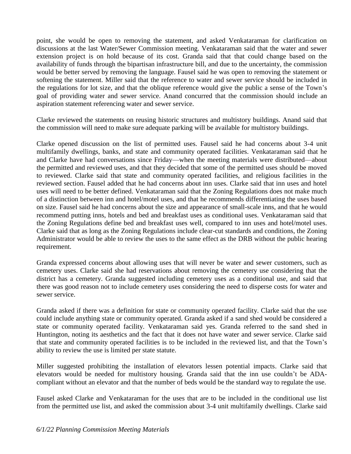point, she would be open to removing the statement, and asked Venkataraman for clarification on discussions at the last Water/Sewer Commission meeting. Venkataraman said that the water and sewer extension project is on hold because of its cost. Granda said that that could change based on the availability of funds through the bipartisan infrastructure bill, and due to the uncertainty, the commission would be better served by removing the language. Fausel said he was open to removing the statement or softening the statement. Miller said that the reference to water and sewer service should be included in the regulations for lot size, and that the oblique reference would give the public a sense of the Town's goal of providing water and sewer service. Anand concurred that the commission should include an aspiration statement referencing water and sewer service.

Clarke reviewed the statements on reusing historic structures and multistory buildings. Anand said that the commission will need to make sure adequate parking will be available for multistory buildings.

Clarke opened discussion on the list of permitted uses. Fausel said he had concerns about 3-4 unit multifamily dwellings, banks, and state and community operated facilities. Venkataraman said that he and Clarke have had conversations since Friday—when the meeting materials were distributed—about the permitted and reviewed uses, and that they decided that some of the permitted uses should be moved to reviewed. Clarke said that state and community operated facilities, and religious facilities in the reviewed section. Fausel added that he had concerns about inn uses. Clarke said that inn uses and hotel uses will need to be better defined. Venkataraman said that the Zoning Regulations does not make much of a distinction between inn and hotel/motel uses, and that he recommends differentiating the uses based on size. Fausel said he had concerns about the size and appearance of small-scale inns, and that he would recommend putting inns, hotels and bed and breakfast uses as conditional uses. Venkataraman said that the Zoning Regulations define bed and breakfast uses well, compared to inn uses and hotel/motel uses. Clarke said that as long as the Zoning Regulations include clear-cut standards and conditions, the Zoning Administrator would be able to review the uses to the same effect as the DRB without the public hearing requirement.

Granda expressed concerns about allowing uses that will never be water and sewer customers, such as cemetery uses. Clarke said she had reservations about removing the cemetery use considering that the district has a cemetery. Granda suggested including cemetery uses as a conditional use, and said that there was good reason not to include cemetery uses considering the need to disperse costs for water and sewer service.

Granda asked if there was a definition for state or community operated facility. Clarke said that the use could include anything state or community operated. Granda asked if a sand shed would be considered a state or community operated facility. Venkataraman said yes. Granda referred to the sand shed in Huntington, noting its aesthetics and the fact that it does not have water and sewer service. Clarke said that state and community operated facilities is to be included in the reviewed list, and that the Town's ability to review the use is limited per state statute.

Miller suggested prohibiting the installation of elevators lessen potential impacts. Clarke said that elevators would be needed for multistory housing. Granda said that the inn use couldn't be ADAcompliant without an elevator and that the number of beds would be the standard way to regulate the use.

Fausel asked Clarke and Venkataraman for the uses that are to be included in the conditional use list from the permitted use list, and asked the commission about 3-4 unit multifamily dwellings. Clarke said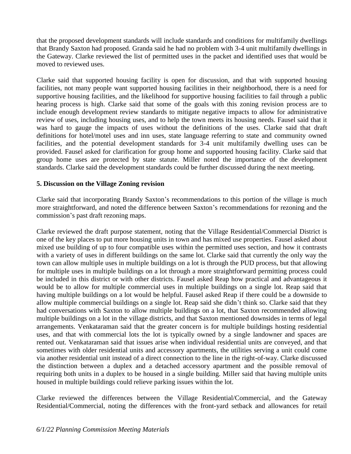that the proposed development standards will include standards and conditions for multifamily dwellings that Brandy Saxton had proposed. Granda said he had no problem with 3-4 unit multifamily dwellings in the Gateway. Clarke reviewed the list of permitted uses in the packet and identified uses that would be moved to reviewed uses.

Clarke said that supported housing facility is open for discussion, and that with supported housing facilities, not many people want supported housing facilities in their neighborhood, there is a need for supportive housing facilities, and the likelihood for supportive housing facilities to fail through a public hearing process is high. Clarke said that some of the goals with this zoning revision process are to include enough development review standards to mitigate negative impacts to allow for administrative review of uses, including housing uses, and to help the town meets its housing needs. Fausel said that it was hard to gauge the impacts of uses without the definitions of the uses. Clarke said that draft definitions for hotel/motel uses and inn uses, state language referring to state and community owned facilities, and the potential development standards for 3-4 unit multifamily dwelling uses can be provided. Fausel asked for clarification for group home and supported housing facility. Clarke said that group home uses are protected by state statute. Miller noted the importance of the development standards. Clarke said the development standards could be further discussed during the next meeting.

#### **5. Discussion on the Village Zoning revision**

Clarke said that incorporating Brandy Saxton's recommendations to this portion of the village is much more straightforward, and noted the difference between Saxton's recommendations for rezoning and the commission's past draft rezoning maps.

Clarke reviewed the draft purpose statement, noting that the Village Residential/Commercial District is one of the key places to put more housing units in town and has mixed use properties. Fausel asked about mixed use building of up to four compatible uses within the permitted uses section, and how it contrasts with a variety of uses in different buildings on the same lot. Clarke said that currently the only way the town can allow multiple uses in multiple buildings on a lot is through the PUD process, but that allowing for multiple uses in multiple buildings on a lot through a more straightforward permitting process could be included in this district or with other districts. Fausel asked Reap how practical and advantageous it would be to allow for multiple commercial uses in multiple buildings on a single lot. Reap said that having multiple buildings on a lot would be helpful. Fausel asked Reap if there could be a downside to allow multiple commercial buildings on a single lot. Reap said she didn't think so. Clarke said that they had conversations with Saxton to allow multiple buildings on a lot, that Saxton recommended allowing multiple buildings on a lot in the village districts, and that Saxton mentioned downsides in terms of legal arrangements. Venkataraman said that the greater concern is for multiple buildings hosting residential uses, and that with commercial lots the lot is typically owned by a single landowner and spaces are rented out. Venkataraman said that issues arise when individual residential units are conveyed, and that sometimes with older residential units and accessory apartments, the utilities serving a unit could come via another residential unit instead of a direct connection to the line in the right-of-way. Clarke discussed the distinction between a duplex and a detached accessory apartment and the possible removal of requiring both units in a duplex to be housed in a single building. Miller said that having multiple units housed in multiple buildings could relieve parking issues within the lot.

Clarke reviewed the differences between the Village Residential/Commercial, and the Gateway Residential/Commercial, noting the differences with the front-yard setback and allowances for retail